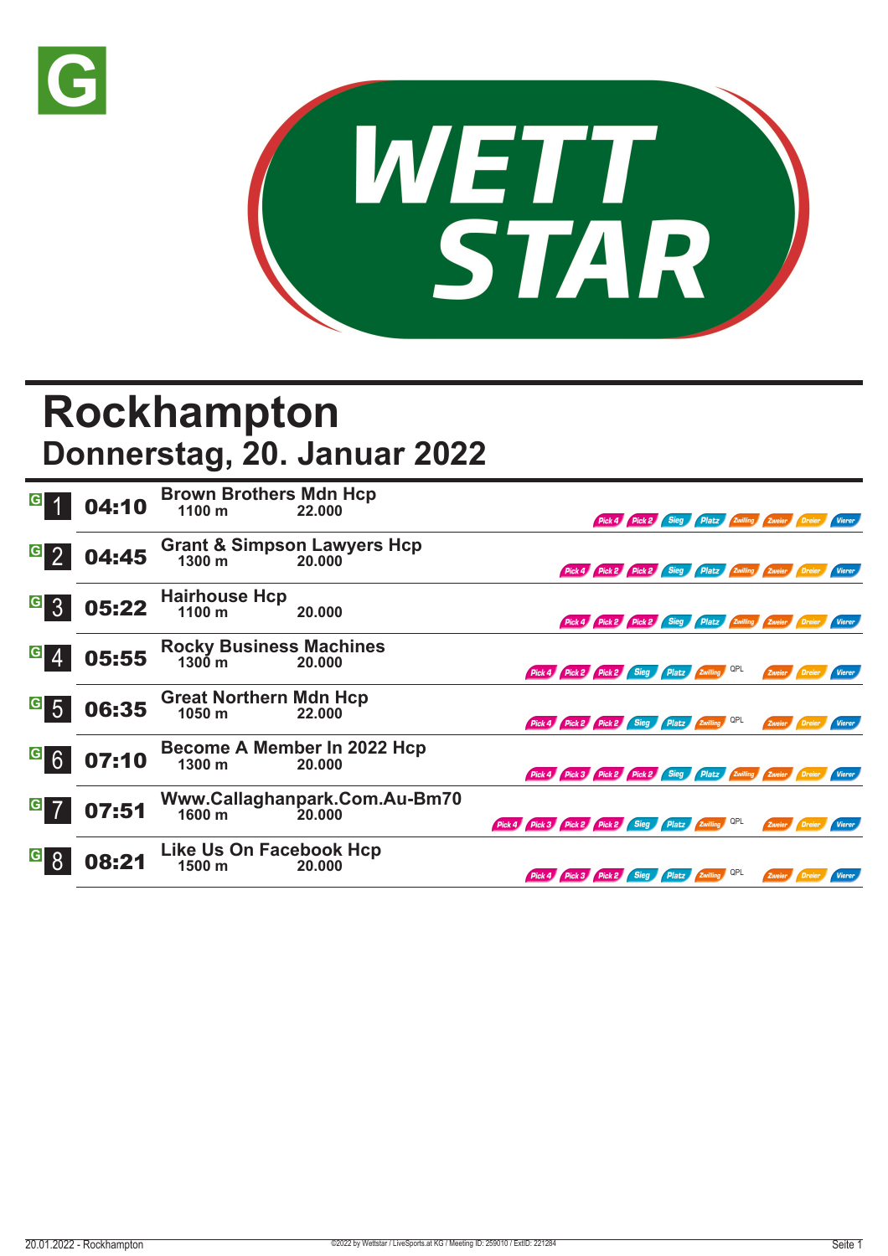



## **Rockhampton Donnerstag, 20. Januar 2022**

|                                   | 04:10 | <b>Brown Brothers Mdn Hcp</b><br>1100 <sub>m</sub> | 22.000                                          |                                                               |                                                               | Pick 4 Pick 2 Sieg Platz Zwilling Zweier Dreier |                |     |                      |          | Vierer        |
|-----------------------------------|-------|----------------------------------------------------|-------------------------------------------------|---------------------------------------------------------------|---------------------------------------------------------------|-------------------------------------------------|----------------|-----|----------------------|----------|---------------|
| $\vert G \vert$                   | 04:45 |                                                    | Grant & Simpson Lawyers Hcp<br>1300 m<br>20.000 |                                                               | Pick 4 Pick 2 Pick 2 Sieg Platz Zwilling Zweier Dreier Vierer |                                                 |                |     |                      |          |               |
| $\vert G \vert$<br>$\overline{3}$ | 05:22 | <b>Hairhouse Hcp</b><br>1100 m                     | 20.000                                          |                                                               | Pick 4 Pick 2 Pick 2 Sieg Platz Zwilling Zweier Dreier        |                                                 |                |     |                      |          | Vierer        |
| G                                 | 05:55 | <b>Rocky Business Machines</b><br>$1300 \text{ m}$ | 20.000                                          | Pick 4 Pick 2 Pick 2 Sieg Platz Zwilling                      |                                                               |                                                 |                | QPL | Zweier <b>Dreier</b> |          | <b>Vierer</b> |
| $\vert G \vert$<br>$\overline{5}$ | 06:35 | <b>Great Northern Mdn Hcp</b><br>1050 m            | 22.000                                          | Pick 4 Pick 2 Pick 2 Sieg Platz Zwilling QPL                  |                                                               |                                                 |                |     | Zweier               | Dreier   | Vierer        |
| <sup>G</sup> 6                    | 07:10 | $1300 \text{ m}$                                   | Become A Member In 2022 Hcp<br>20.000           | Pick 4 Pick 3 Pick 2 Pick 2 Sieg Platz Zwilling Zweier Dreier |                                                               |                                                 |                |     |                      |          |               |
| G                                 | 07:51 | 1600 m                                             | Www.Callaghanpark.Com.Au-Bm70<br>20.000         | Pick 4 Pick 3 Pick 2 Pick 2 Sieg Platz Zwilling OPL           |                                                               |                                                 |                |     | Zweier <b>Dreier</b> |          | <b>Vierer</b> |
|                                   | 08:21 | Like Us On Facebook Hcp<br>1500 m                  | 20.000                                          | Pick 4 Pick 3 Pick 2 Sieg                                     |                                                               |                                                 | Platz Zwilling | QPL | Zweier               | / Dreier | <b>Vierer</b> |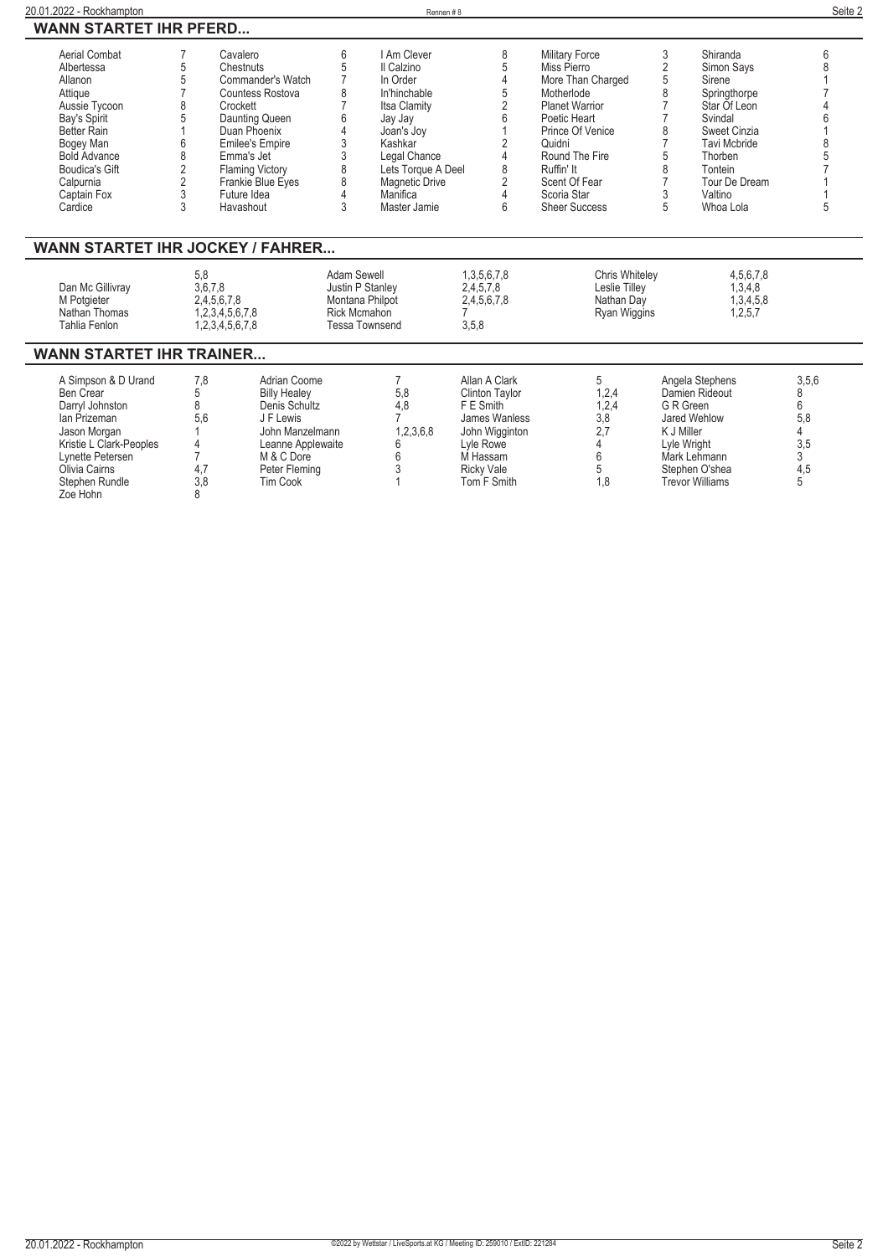| <b>WANN STARTET IHR PFERD</b>                                                                                                                                                                                                                                  | 6          |
|----------------------------------------------------------------------------------------------------------------------------------------------------------------------------------------------------------------------------------------------------------------|------------|
|                                                                                                                                                                                                                                                                |            |
| Aerial Combat<br>6<br>I Am Clever<br>3<br>Shiranda<br>8<br>Military Force<br>Cavalero                                                                                                                                                                          |            |
| 5<br>5<br>$\overline{2}$<br>5<br>Miss Pierro<br>Chestnuts<br>Il Calzino<br>Simon Says<br>Albertessa                                                                                                                                                            |            |
| Commander's Watch<br>4<br>More Than Charged<br>5<br>In Order<br>Sirene<br>Allanon                                                                                                                                                                              |            |
| 8<br>8<br>5<br>Attique<br>In'hinchable<br>Motherlode<br>Springthorpe<br>Countess Rostova                                                                                                                                                                       |            |
| $\overline{2}$<br>Aussie Tycoon<br>Itsa Clamity<br><b>Planet Warrior</b><br>Star Of Leon<br>Crockett                                                                                                                                                           |            |
| 6<br>Daunting Queen<br>Bay's Spirit<br>Poetic Heart<br>Svindal<br>Jay Jay                                                                                                                                                                                      |            |
| Better Rain<br>8<br>Sweet Cinzia<br>Duan Phoenix<br>Prince Of Venice<br>Joan's Joy                                                                                                                                                                             |            |
| $\overline{2}$<br>Bogey Man<br><b>Emilee's Empire</b><br><b>Tavi Mcbride</b><br>Kashkar<br>Quidni                                                                                                                                                              |            |
| 4<br>Round The Fire<br><b>Bold Advance</b><br>Legal Chance<br>Emma's Jet<br>5<br>Thorben                                                                                                                                                                       |            |
| 2<br>8<br>8<br>Boudica's Gift<br>Lets Torque A Deel<br>Ruffin' It<br>8<br><b>Flaming Victory</b><br>Tontein                                                                                                                                                    |            |
| $\overline{2}$<br>8<br>$\overline{2}$<br>Tour De Dream<br>Scent Of Fear<br>Calpurnia<br>Frankie Blue Eves<br><b>Magnetic Drive</b>                                                                                                                             |            |
| 3<br>$\overline{4}$<br>3<br>Valtino<br>Future Idea<br>Manifica<br>4<br>Scoria Star<br>Captain Fox                                                                                                                                                              |            |
| 3<br>3<br>6<br>5<br>Master Jamie<br><b>Sheer Success</b><br>Whoa Lola<br>Cardice<br>Havashout                                                                                                                                                                  | 5          |
|                                                                                                                                                                                                                                                                |            |
| <b>WANN STARTET IHR JOCKEY / FAHRER</b>                                                                                                                                                                                                                        |            |
| 5,8<br>Adam Sewell<br>1,3,5,6,7,8<br>4,5,6,7,8<br><b>Chris Whiteley</b><br>3,6,7,8<br>Justin P Stanley<br>2.4.5.7.8<br>1,3,4,8<br>Dan Mc Gillivray<br>Leslie Tillev<br>2,4,5,6,7,8<br>2,4,5,6,7,8<br>1,3,4,5,8<br>Montana Philpot<br>Nathan Day<br>M Potgieter |            |
| Nathan Thomas<br>1,2,3,4,5,6,7,8<br><b>Rick Mcmahon</b><br>Ryan Wiggins<br>1,2,5,7                                                                                                                                                                             |            |
| 3,5,8<br><b>Tahlia Fenlon</b><br>1,2,3,4,5,6,7,8<br><b>Tessa Townsend</b>                                                                                                                                                                                      |            |
| <b>WANN STARTET IHR TRAINER</b>                                                                                                                                                                                                                                |            |
| 5<br>A Simpson & D Urand<br>7.8<br>Adrian Coome<br>Allan A Clark                                                                                                                                                                                               |            |
| Angela Stephens<br>5,8<br>1,2,4<br>Ben Crear<br>5<br><b>Billy Healey</b><br><b>Clinton Taylor</b><br>Damien Rideout                                                                                                                                            | 3,5,6<br>8 |
| 8<br>4,8<br>1,2,4<br>F E Smith<br>G R Green<br>Darryl Johnston<br>Denis Schultz                                                                                                                                                                                | 6          |
| 3,8<br>lan Prizeman<br>5.6<br>James Wanless<br>Jared Wehlow<br>J F Lewis                                                                                                                                                                                       | 5,8        |
| 2,7<br>1,2,3,6,8<br>K J Miller<br>Jason Morgan<br>John Manzelmann<br>John Wigginton                                                                                                                                                                            |            |
| Kristie L Clark-Peoples<br>Lyle Rowe<br>6<br>Lyle Wright<br>Leanne Applewaite                                                                                                                                                                                  | 3.5        |

**Lynette Petersen 7 M & C Dore 6 M Hassam 6 Mark Lehmann 3 Olivia Cairns 4,7 Peter Fleming 3 Ricky Vale 5 Stephen O'shea 4,5 Stephen Rundle 3,8 Tim Cook 1 Tom F Smith 1,8 Trevor Williams 5 Zoe Hohn 8**

L,

L.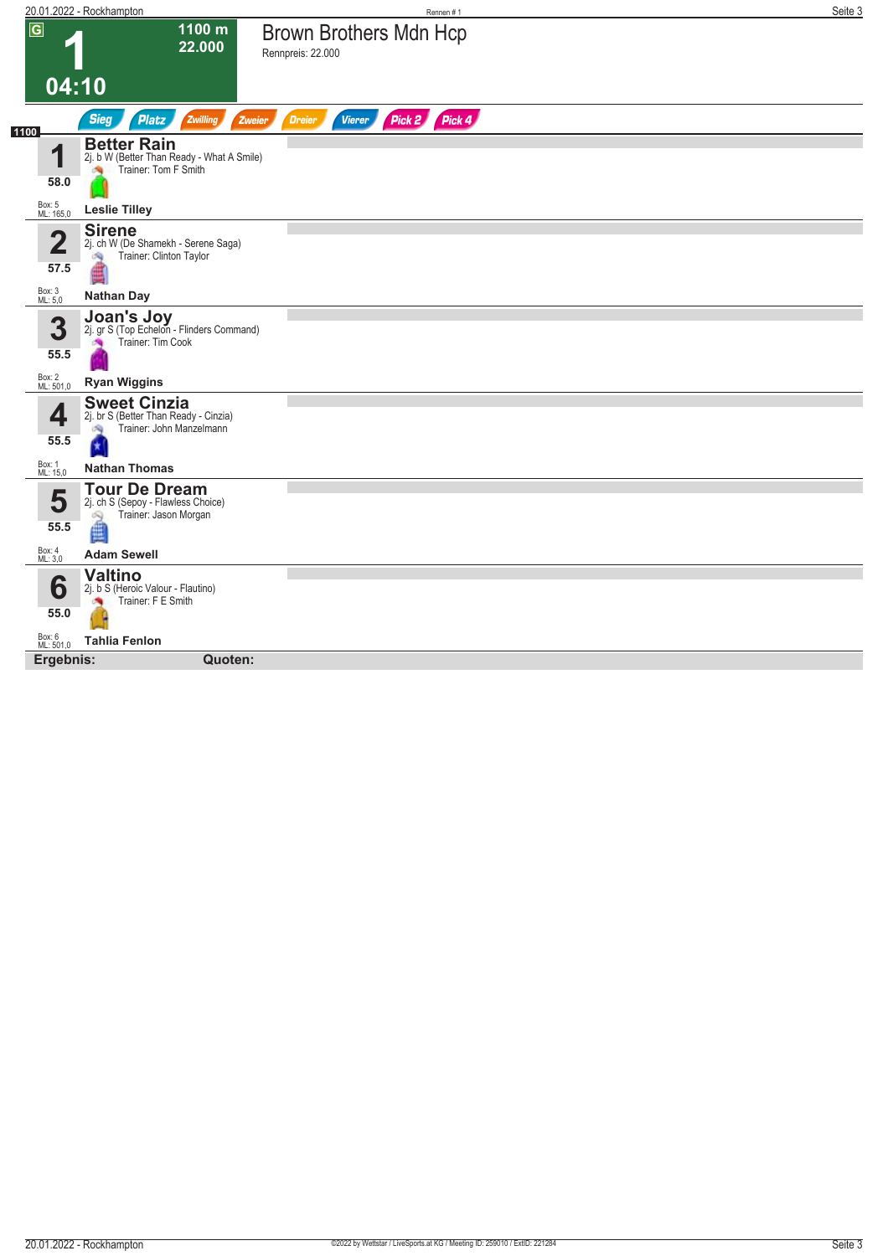|                                 | 20.01.2022 - Rockhampton                                                                       | Rennen #1                                                 | Seite 3 |
|---------------------------------|------------------------------------------------------------------------------------------------|-----------------------------------------------------------|---------|
| $\overline{G}$                  | 1100 m<br>22.000                                                                               | <b>Brown Brothers Mdn Hcp</b><br>Rennpreis: 22.000        |         |
|                                 | 04:10                                                                                          |                                                           |         |
| 1100                            | <b>Sieg</b><br><b>Platz</b><br>Zwilling                                                        | Pick 2 Pick 4<br><b>Vierer</b><br>Zweier<br><b>Dreier</b> |         |
| 4<br>58.0                       | <b>Better Rain</b><br>2j. b W (Better Than Ready - What A Smile)<br>Trainer: Tom F Smith       |                                                           |         |
| Box: 5<br>ML: 165,0             | <b>Leslie Tilley</b>                                                                           |                                                           |         |
| $\overline{\mathbf{2}}$<br>57.5 | <b>Sirene</b><br>2j. ch W (De Shamekh - Serene Saga)<br>Trainer: Clinton Taylor<br>鸿           |                                                           |         |
| Box: 3<br>ML: 5,0               | <b>Nathan Day</b>                                                                              |                                                           |         |
| 3<br>55.5                       | Joan's Joy<br>2j. gr S (Top Echelon - Flinders Command)<br>Trainer: Tim Cook<br><b>Sec</b>     |                                                           |         |
| Box: 2<br>ML: 501,0             | <b>Ryan Wiggins</b>                                                                            |                                                           |         |
| 4<br>55.5                       | <b>Sweet Cinzia</b><br>2j. br S (Better Than Ready - Cinzia)<br>Trainer: John Manzelmann<br>d. |                                                           |         |
| Box: 1<br>ML: 15,0              | <b>Nathan Thomas</b>                                                                           |                                                           |         |
| 5<br>55.5                       | <b>Tour De Dream</b><br>2j. ch S (Sepoy - Flawless Choice)<br>Trainer: Jason Morgan<br>Q       |                                                           |         |
| Box: 4<br>ML: 3,0               | <b>Adam Sewell</b>                                                                             |                                                           |         |
| 6<br>55.0                       | <b>Valtino</b><br>2j. b S (Heroic Valour - Flautino)<br>Trainer: F E Smith                     |                                                           |         |
| Box: 6<br>ML: 501,0             | <b>Tahlia Fenlon</b>                                                                           |                                                           |         |
| Ergebnis:                       | Quoten:                                                                                        |                                                           |         |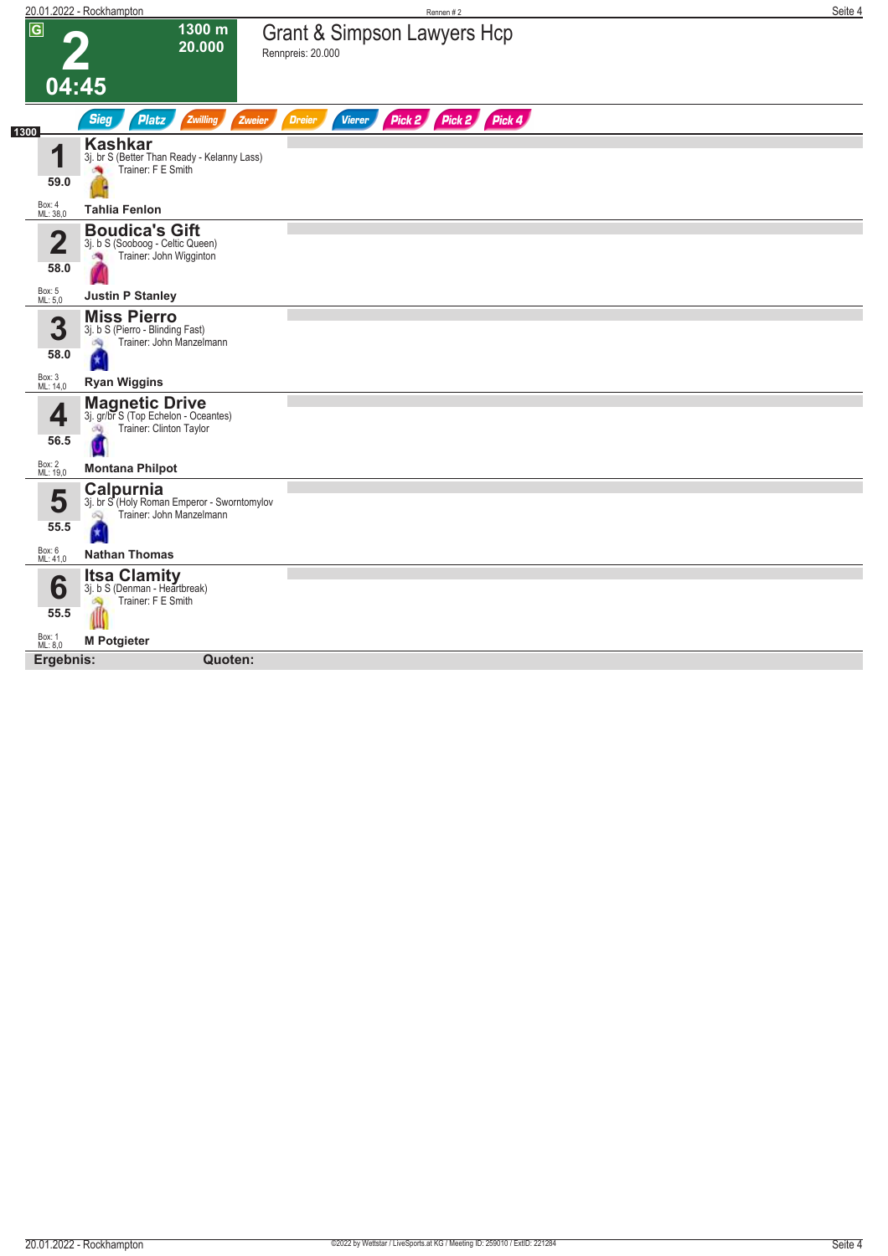|                    | 20.01.2022 - Rockhampton                                                                       | Rennen #2                                                 | Seite 4 |
|--------------------|------------------------------------------------------------------------------------------------|-----------------------------------------------------------|---------|
| $\overline{G}$     | 1300 m<br>20.000                                                                               | Grant & Simpson Lawyers Hcp<br>Rennpreis: 20.000          |         |
| 04:45              |                                                                                                |                                                           |         |
| 1300               | <b>Sieg</b><br><b>Platz</b><br>Zwilling<br>Zweier                                              | Pick 2 Pick 2<br>Pick 4<br><b>Vierer</b><br><b>Dreier</b> |         |
| 4<br>59.0          | <b>Kashkar</b><br>3j. br S (Better Than Ready - Kelanny Lass)<br>Trainer: F E Smith<br>×       |                                                           |         |
| Box: 4<br>ML: 38,0 | <b>Tahlia Fenlon</b>                                                                           |                                                           |         |
| 2<br>58.0          | <b>Boudica's Gift</b><br>3j. b S (Sooboog - Celtic Queen)<br>Trainer: John Wigginton<br>ு      |                                                           |         |
| Box: 5<br>ML: 5,0  | <b>Justin P Stanley</b>                                                                        |                                                           |         |
| 3<br>58.0          | <b>Miss Pierro</b><br>3j. b S (Pierro - Blinding Fast)<br>Trainer: John Manzelmann<br>d.       |                                                           |         |
| Box: 3<br>ML: 14,0 | <b>Ryan Wiggins</b>                                                                            |                                                           |         |
| 4<br>56.5          | <b>Magnetic Drive</b><br>3j. gr/br S (Top Echelon - Oceantes)<br>Trainer: Clinton Taylor<br>OQ |                                                           |         |
| Box: 2<br>ML: 19,0 | <b>Montana Philpot</b>                                                                         |                                                           |         |
| 5<br>55.5          | Calpurnia<br>3j. br S (Holy Roman Emperor - Sworntomylov<br>Trainer: John Manzelmann<br>Q      |                                                           |         |
| Box: 6<br>ML: 41,0 | <b>Nathan Thomas</b>                                                                           |                                                           |         |
| 6<br>55.5          | <b>Itsa Clamity</b><br>3j. b S (Denman - Heartbreak)<br>Trainer: F E Smith<br>S.               |                                                           |         |
| Box: 1<br>ML: 8,0  | <b>M Potgieter</b>                                                                             |                                                           |         |
| Ergebnis:          | Quoten:                                                                                        |                                                           |         |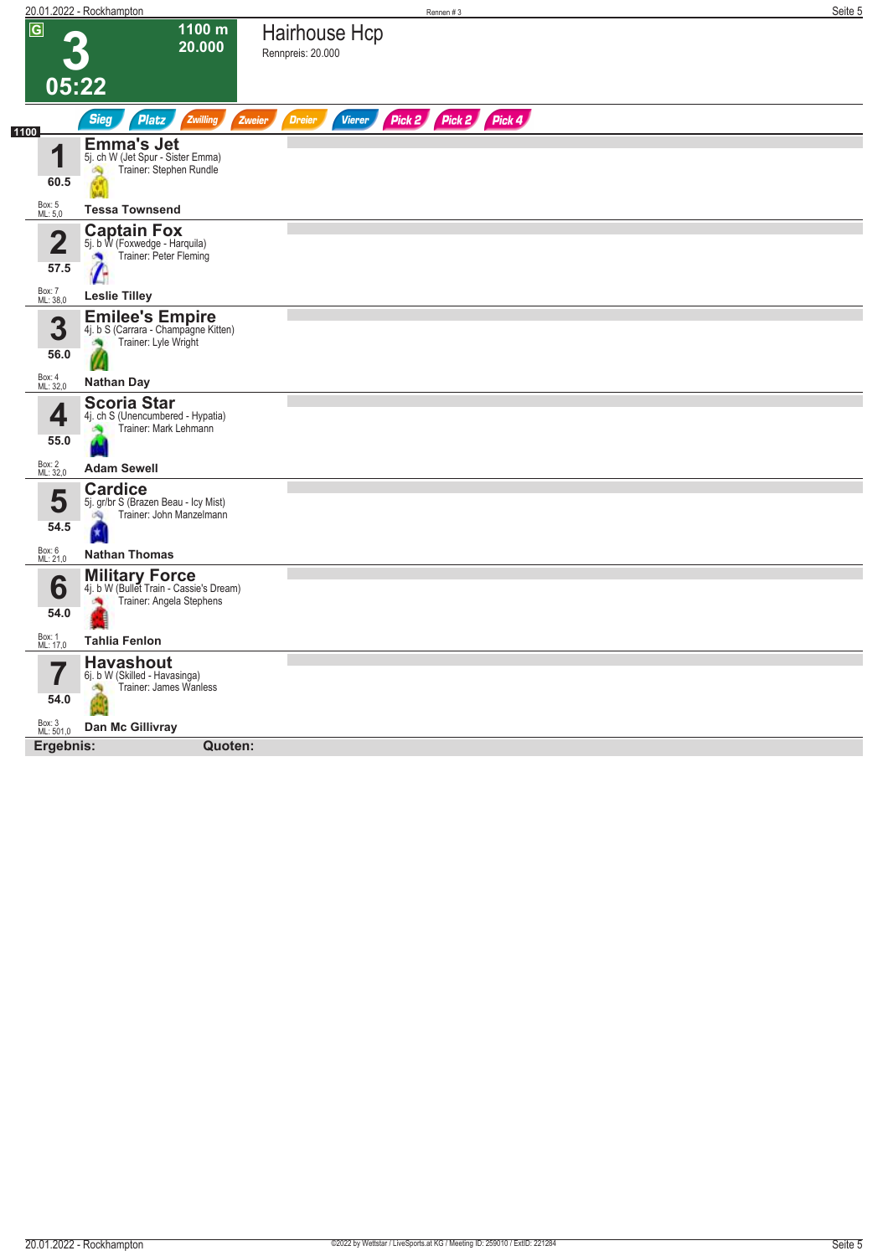|                                 | 20.01.2022 - Rockhampton                                                                     |                                    | Rennen #3            | Seite 5 |
|---------------------------------|----------------------------------------------------------------------------------------------|------------------------------------|----------------------|---------|
| $\overline{G}$                  | 1100 m<br>20.000                                                                             | Hairhouse Hcp<br>Rennpreis: 20.000 |                      |         |
|                                 | 05:22                                                                                        |                                    |                      |         |
| 1100                            | <b>Sieg</b><br><b>Platz</b><br>Zwilling<br><b>Zweier</b>                                     | <b>Dreier</b><br><b>Vierer</b>     | Pick 2 Pick 2 Pick 4 |         |
| и<br>60.5                       | <b>Emma's Jet</b><br>5j. ch W (Jet Spur - Sister Emma)<br>Trainer: Stephen Rundle<br>Ñ       |                                    |                      |         |
| Box: 5<br>ML: 5,0               | <b>Tessa Townsend</b>                                                                        |                                    |                      |         |
| $\overline{\mathbf{2}}$<br>57.5 | <b>Captain Fox</b><br>5j. b W (Foxwedge - Harquila)<br>Trainer: Peter Fleming                |                                    |                      |         |
| Box: 7<br>ML: 38,0              | <b>Leslie Tilley</b>                                                                         |                                    |                      |         |
| 3<br>56.0                       | <b>Emilee's Empire</b><br>4j. b S (Carrara - Champagne Kitten)<br>Trainer: Lyle Wright<br>×  |                                    |                      |         |
| Box: 4<br>ML: 32,0              | <b>Nathan Day</b>                                                                            |                                    |                      |         |
| 4<br>55.0                       | <b>Scoria Star</b><br>4j. ch S (Unencumbered - Hypatia)<br>Trainer: Mark Lehmann             |                                    |                      |         |
| Box: 2<br>ML: 32,0              | <b>Adam Sewell</b>                                                                           |                                    |                      |         |
| 5<br>54.5                       | <b>Cardice</b><br>5j. gr/br S (Brazen Beau - Icy Mist)<br>Trainer: John Manzelmann<br>d C    |                                    |                      |         |
| Box: 6<br>ML: 21,0              | <b>Nathan Thomas</b>                                                                         |                                    |                      |         |
| 6<br>54.0                       | <b>Military Force</b><br>4j. b W (Bullet Train - Cassie's Dream)<br>Trainer: Angela Stephens |                                    |                      |         |
| Box: 1<br>ML: 17,0              | <b>Tahlia Fenlon</b>                                                                         |                                    |                      |         |
| 54.0                            | <b>Havashout</b><br>6j. b W (Skilled - Havasinga)<br>Trainer: James Wanless                  |                                    |                      |         |
| Box: 3<br>ML: 501,0             | Dan Mc Gillivray                                                                             |                                    |                      |         |
| Ergebnis:                       | Quoten:                                                                                      |                                    |                      |         |
|                                 |                                                                                              |                                    |                      |         |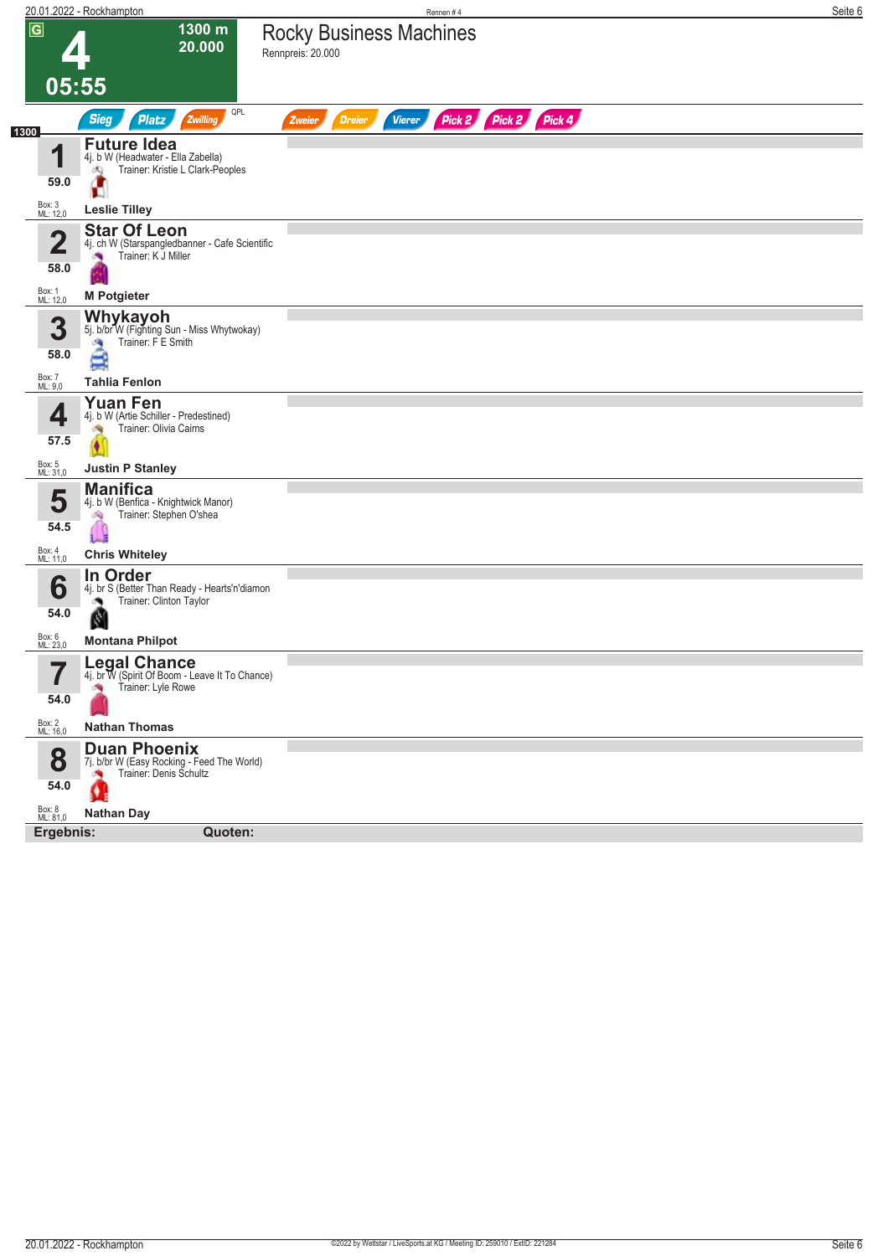|                        | 20.01.2022 - Rockhampton                                                                            | Rennen #4                                                        | Seite 6 |
|------------------------|-----------------------------------------------------------------------------------------------------|------------------------------------------------------------------|---------|
| $\overline{G}$         | 1300 m<br>20.000                                                                                    | <b>Rocky Business Machines</b><br>Rennpreis: 20.000              |         |
| 05:55                  |                                                                                                     |                                                                  |         |
|                        | QPL<br><b>Sieg</b><br>Platz<br>Zwilling                                                             | Pick 2 Pick 2 Pick 4<br><b>Dreier</b><br><b>Vierer</b><br>Zweier |         |
| 1300<br>1<br>59.0      | <b>Future Idea</b><br>4j. b W (Headwater - Ella Zabella)<br>Trainer: Kristie L Clark-Peoples<br>đQ. |                                                                  |         |
| Box: 3<br>ML: 12,0     | Ю<br><b>Leslie Tilley</b>                                                                           |                                                                  |         |
| $\overline{2}$<br>58.0 | <b>Star Of Leon</b><br>4j. ch W (Starspangledbanner - Cafe Scientific<br>Trainer: K J Miller        |                                                                  |         |
| Box: 1<br>ML: 12,0     | <b>M</b> Potgieter                                                                                  |                                                                  |         |
| 3<br>58.0              | Whykayoh<br>5j. b/br W (Fighting Sun - Miss Whytwokay)<br>Trainer: F E Smith<br>÷,<br>Ξ             |                                                                  |         |
| Box: 7<br>ML: 9,0      | <b>Tahlia Fenlon</b>                                                                                |                                                                  |         |
| 4<br>57.5              | <b>Yuan Fen</b><br>4j. b W (Artie Schiller - Predestined)<br>Trainer: Olivia Cairns<br>淘            |                                                                  |         |
| Box: 5<br>ML: 31,0     | <b>Justin P Stanley</b>                                                                             |                                                                  |         |
| 5<br>54.5              | <b>Manifica</b><br>4j. b W (Benfica - Knightwick Manor)<br>Trainer: Stephen O'shea<br>內<br>û        |                                                                  |         |
| Box: 4<br>ML: 11,0     | <b>Chris Whiteley</b>                                                                               |                                                                  |         |
| 6<br>54.0              | In Order<br>4j. br S (Better Than Ready - Hearts'n'diamon<br>Trainer: Clinton Taylor<br>N           |                                                                  |         |
| Box: 6<br>ML: 23,0     | <b>Montana Philpot</b>                                                                              |                                                                  |         |
| 7<br>I<br>54.0         | <b>Legal Chance</b><br>4j. br W (Spirit Of Boom - Leave It To Chance)<br>Trainer: Lyle Rowe         |                                                                  |         |
| Box: 2<br>ML: 16,0     | <b>Nathan Thomas</b>                                                                                |                                                                  |         |
| 8<br>54.0              | <b>Duan Phoenix</b><br>7j. b/br W (Easy Rocking - Feed The World)<br>Trainer: Denis Schultz<br>Ω    |                                                                  |         |
| Box: 8<br>ML: 81,0     | <b>Nathan Day</b>                                                                                   |                                                                  |         |
| Ergebnis:              | Quoten:                                                                                             |                                                                  |         |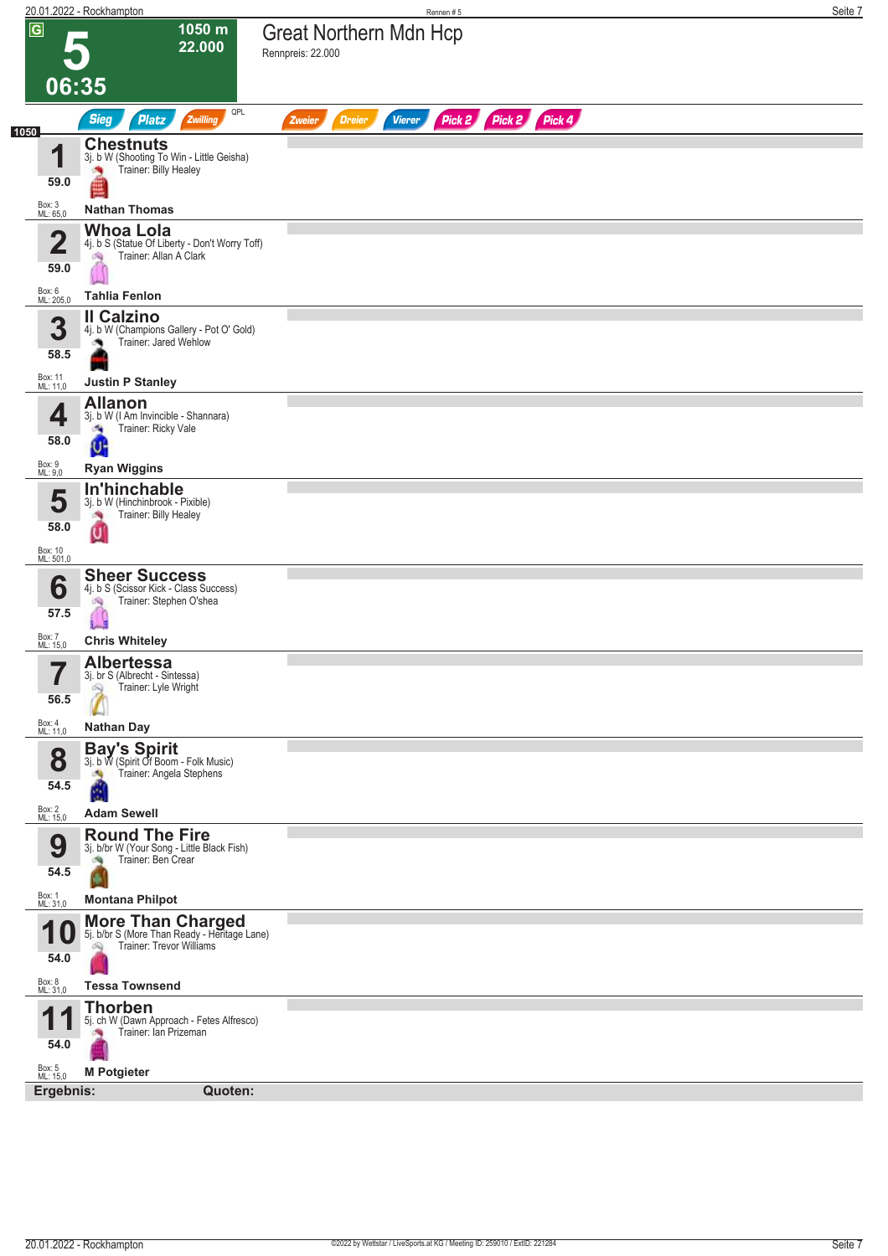|                                         | 20.01.2022 - Rockhampton                                                                                            |                                                    | Rennen #5     |                      |  | Seite 7 |
|-----------------------------------------|---------------------------------------------------------------------------------------------------------------------|----------------------------------------------------|---------------|----------------------|--|---------|
| $\overline{G}$                          | 1050 m<br>22.000<br>06:35                                                                                           | <b>Great Northern Mdn Hcp</b><br>Rennpreis: 22.000 |               |                      |  |         |
|                                         | QPL<br><b>Sieg</b><br>Platz<br>Zwilling                                                                             | <b>Dreier</b><br>Zweier                            | <b>Vierer</b> | Pick 2 Pick 2 Pick 4 |  |         |
| 1050<br>1<br>59.0<br>Box: 3<br>ML: 65,0 | <b>Chestnuts</b><br>3j. b W (Shooting To Win - Little Geisha)<br>Trainer: Billy Healey<br><b>Nathan Thomas</b>      |                                                    |               |                      |  |         |
| 0<br>59.0                               | <b>Whoa Lola</b><br>4j. b S (Statue Of Liberty - Don't Worry Toff)<br>Trainer: Allan A Clark<br>沟                   |                                                    |               |                      |  |         |
| Box: 6<br>ML: 205,0                     | <b>Tahlia Fenlon</b>                                                                                                |                                                    |               |                      |  |         |
| 3<br>58.5                               | Il Calzino<br>4j. b W (Champions Gallery - Pot O' Gold)<br>Trainer: Jared Wehlow                                    |                                                    |               |                      |  |         |
| Box: 11<br>ML: 11,0                     | <b>Justin P Stanley</b>                                                                                             |                                                    |               |                      |  |         |
| 4<br>58.0                               | <b>Allanon</b><br>3j. b W (I Am Invincible - Shannara)<br>Trainer: Ricky Vale<br>a,<br>U                            |                                                    |               |                      |  |         |
| Box: 9<br>ML: 9,0                       | <b>Ryan Wiggins</b><br>In'hinchable                                                                                 |                                                    |               |                      |  |         |
| 5<br>58.0                               | 3j. b W (Hinchinbrook - Pixible)<br>Trainer: Billy Healey<br>×<br>ū                                                 |                                                    |               |                      |  |         |
| Box: 10<br>ML: 501,0                    | <b>Sheer Success</b>                                                                                                |                                                    |               |                      |  |         |
| 6<br>57.5                               | 4j. b S (Scissor Kick - Class Success)<br>Trainer: Stephen O'shea<br>鸿                                              |                                                    |               |                      |  |         |
| Box: 7<br>ML: 15,0                      | <b>Chris Whiteley</b>                                                                                               |                                                    |               |                      |  |         |
| 5<br>56.5                               | <b>Albertessa</b><br>3. Dr S (AIDIECHT - SINESSA)<br>Trainer: Lyle Wright<br>Q                                      |                                                    |               |                      |  |         |
| Box: 4<br>ML: 11,0                      | <b>Nathan Day</b>                                                                                                   |                                                    |               |                      |  |         |
| 8<br>54.5<br>Box: 2<br>ML: 15,0         | <b>Bay's Spirit</b><br>3j. b W (Spirit Of Boom - Folk Music)<br>Trainer: Angela Stephens<br>A<br><b>Adam Sewell</b> |                                                    |               |                      |  |         |
| 9                                       | <b>Round The Fire</b><br>3j. b/br W (Your Song - Little Black Fish)<br>Trainer: Ben Crear                           |                                                    |               |                      |  |         |
| 54.5                                    |                                                                                                                     |                                                    |               |                      |  |         |
| Box: 1<br>ML: 31,0                      | <b>Montana Philpot</b>                                                                                              |                                                    |               |                      |  |         |
| И<br>1 U<br>54.0                        | More Than Charged<br>5j. b/br S (More Than Ready - Heritage Lane)<br>Trainer: Trevor Williams                       |                                                    |               |                      |  |         |
| Box: 8<br>ML: 31,0                      | <b>Tessa Townsend</b>                                                                                               |                                                    |               |                      |  |         |
| ◢<br>п<br>54.0<br>Box: 5<br>ML: 15,0    | <b>Thorben</b><br>5j. ch W (Dawn Approach - Fetes Alfresco)<br>Trainer: Ian Prizeman<br>漁                           |                                                    |               |                      |  |         |
| Ergebnis:                               | <b>M Potgieter</b><br>Quoten:                                                                                       |                                                    |               |                      |  |         |
|                                         |                                                                                                                     |                                                    |               |                      |  |         |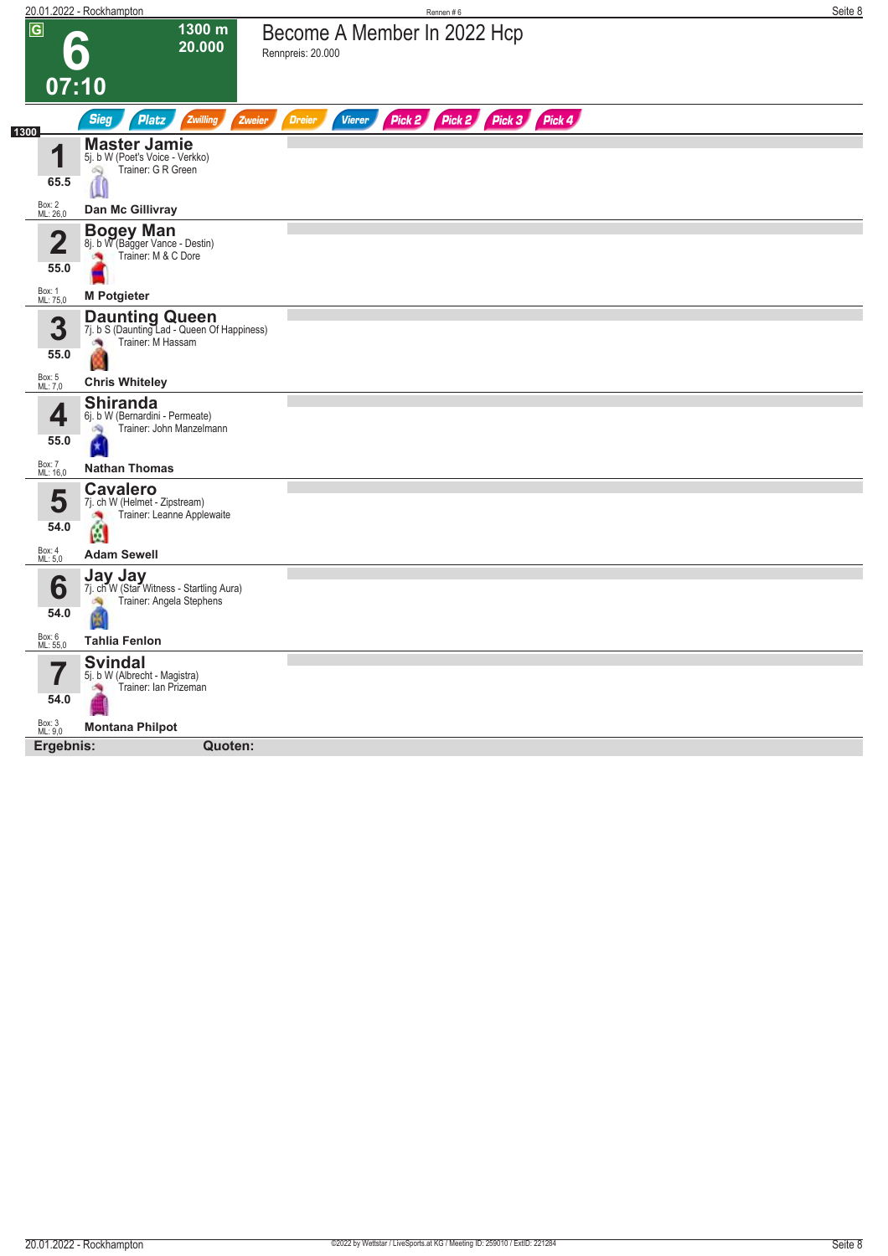|                           | 20.01.2022 - Rockhampton                                                                            | Rennen#6                                         |                             | Seite 8 |
|---------------------------|-----------------------------------------------------------------------------------------------------|--------------------------------------------------|-----------------------------|---------|
| $\overline{G}$            | 1300 m<br>20.000                                                                                    | Become A Member In 2022 Hcp<br>Rennpreis: 20.000 |                             |         |
|                           | 07:10                                                                                               |                                                  |                             |         |
|                           | <b>Sieg</b><br><b>Platz</b><br>Zwilling<br>Zweier                                                   | <b>Dreier</b><br><b>Vierer</b>                   | Pick 2 Pick 2 Pick 3 Pick 4 |         |
| 1300<br>1<br>65.5         | <b>Master Jamie</b><br>5j. b W (Poet's Voice - Verkko)<br>Trainer: G R Green<br>ô,<br>Ű             |                                                  |                             |         |
| Box: 2<br>ML: 26,0        | Dan Mc Gillivray                                                                                    |                                                  |                             |         |
| Ω<br>∠<br>55.0            | <b>Bogey Man</b><br>8j. b W (Bagger Vance - Destin)<br>Trainer: M & C Dore                          |                                                  |                             |         |
| Box: 1<br>ML: 75,0        | <b>M Potgieter</b>                                                                                  |                                                  |                             |         |
| 3<br>55.0                 | <b>Daunting Queen</b><br>7j. b S (Daunting Lad - Queen Of Happiness)<br>Trainer: M Hassam<br>澚<br>w |                                                  |                             |         |
| Box: 5<br>ML: 7,0         | <b>Chris Whiteley</b>                                                                               |                                                  |                             |         |
| 4<br>55.0                 | <b>Shiranda</b><br>6j. b W (Bernardini - Permeate)<br>Trainer: John Manzelmann<br>d.                |                                                  |                             |         |
| <b>Box: 7</b><br>ML: 16,0 | <b>Nathan Thomas</b>                                                                                |                                                  |                             |         |
| 5<br>54.0                 | <b>Cavalero</b><br>7j. ch W (Helmet - Zipstream)<br>Trainer: Leanne Applewaite<br>×<br>Ø            |                                                  |                             |         |
| Box: 4<br>ML: 5,0         | <b>Adam Sewell</b>                                                                                  |                                                  |                             |         |
| 6<br>54.0                 | <b>Jay Jay</b><br>7j. ch W (Star Witness - Startling Aura)<br>Trainer: Angela Stephens              |                                                  |                             |         |
| Box: 6<br>ML: 55,0        | <b>Tahlia Fenlon</b>                                                                                |                                                  |                             |         |
| 54.0                      | <b>Svindal</b><br>5j. b W (Albrecht - Magistra)<br>Trainer: Ian Prizeman                            |                                                  |                             |         |
| Box: 3<br>ML: 9,0         | <b>Montana Philpot</b>                                                                              |                                                  |                             |         |
| Ergebnis:                 | Quoten:                                                                                             |                                                  |                             |         |
|                           |                                                                                                     |                                                  |                             |         |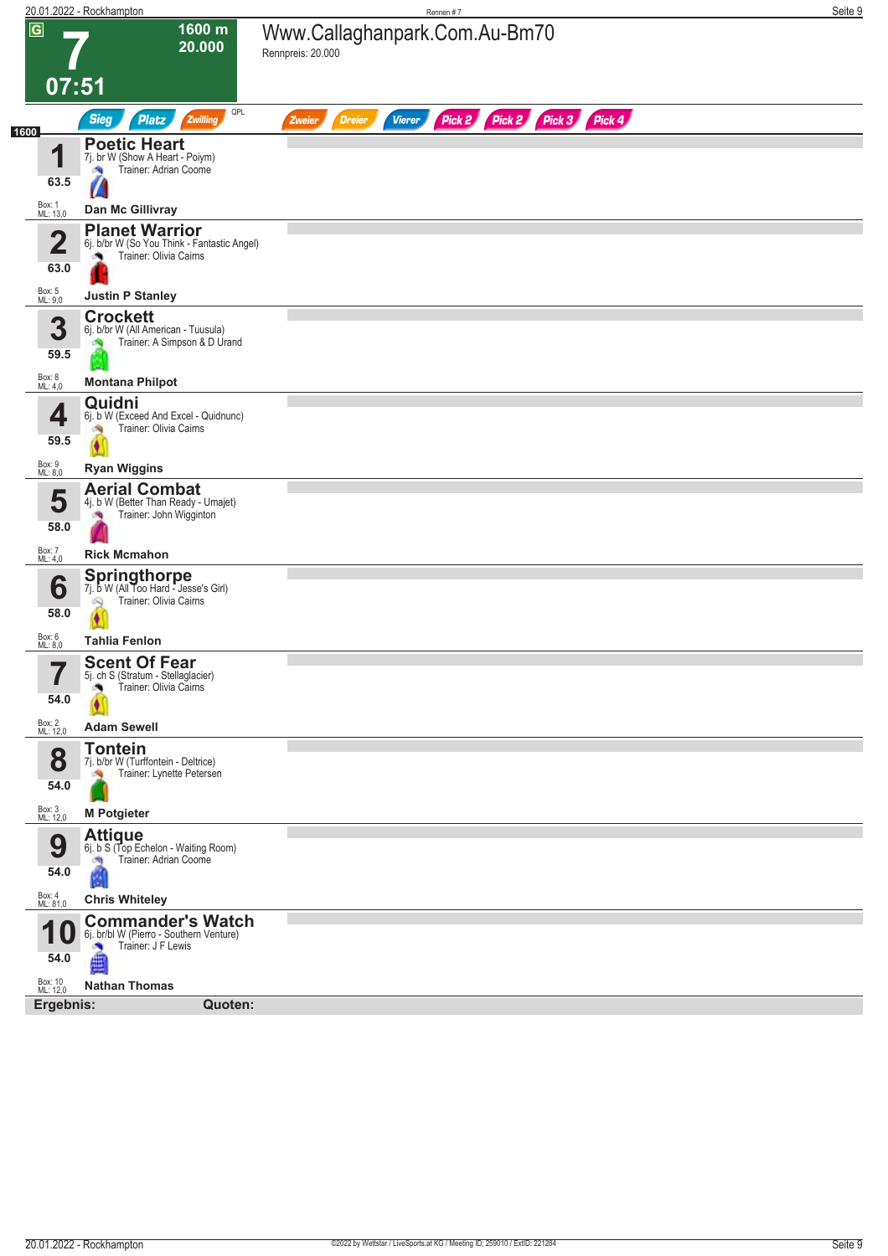|                                  | 20.01.2022 - Rockhampton                                                                       | Rennen #7                                                               | Seite 9 |
|----------------------------------|------------------------------------------------------------------------------------------------|-------------------------------------------------------------------------|---------|
| $\overline{G}$                   | 1600 m<br>20.000                                                                               | Www.Callaghanpark.Com.Au-Bm70<br>Rennpreis: 20.000                      |         |
|                                  | 07:51                                                                                          |                                                                         |         |
| 1600                             | QPL<br><b>Sieg</b><br>Zwilling<br><b>Platz</b>                                                 | Pick 2 Pick 2 Pick 3 Pick 4<br><b>Dreier</b><br><b>Vierer</b><br>Zweier |         |
| 4<br>63.5                        | <b>Poetic Heart</b><br>7j. br W (Show A Heart - Poiym)<br>Trainer: Adrian Coome                |                                                                         |         |
| Box: 1<br>ML: 13,0               | Dan Mc Gillivray                                                                               |                                                                         |         |
| $\overline{\mathbf{2}}$<br>63.0  | <b>Planet Warrior</b><br>6j. b/br W (So You Think - Fantastic Angel)<br>Trainer: Olivia Cairns |                                                                         |         |
| Box: 5<br>ML: 9,0                | <b>Justin P Stanley</b>                                                                        |                                                                         |         |
| 3<br>59.5                        | <b>Crockett</b><br>6j. b/br W (All American - Tuusula)<br>Trainer: A Simpson & D Urand         |                                                                         |         |
| Box: 8<br>ML: 4,0                | <b>Montana Philpot</b>                                                                         |                                                                         |         |
| 4<br>59.5                        | Quidni<br>6j. b W (Exceed And Excel - Quidnunc)<br>Trainer: Olivia Cairns                      |                                                                         |         |
| Box: 9<br>ML: 8,0                | <b>Ryan Wiggins</b>                                                                            |                                                                         |         |
| 5<br>58.0                        | <b>Aerial Combat</b><br>4j. b W (Better Than Ready - Umajet)<br>Trainer: John Wigginton<br>×   |                                                                         |         |
| Box: 7<br>ML: 4,0                | <b>Rick Mcmahon</b>                                                                            |                                                                         |         |
| 6<br>58.0                        | Springthorpe<br>7j b W (All Too Hard - Jesse's Girl)<br>Trainer: Olivia Cairns                 |                                                                         |         |
| Box: 6<br>ML: 8,0                | <b>Tahlia Fenlon</b>                                                                           |                                                                         |         |
| $\overline{\phantom{a}}$<br>54.0 | <b>Scent Of Fear</b><br>5j. ch S (Stratum - Stellaglacier)<br>Trainer: Olivia Cairns           |                                                                         |         |
| Box: 2<br>ML: 12,0               | <b>Adam Sewell</b><br><b>Tontein</b>                                                           |                                                                         |         |
| 8<br>54.0                        | 7j. b/br W (Turffontein - Deltrice)<br>Trainer: Lynette Petersen                               |                                                                         |         |
| Box: 3<br>ML: 12,0               | <b>M Potgieter</b>                                                                             |                                                                         |         |
| 9<br>54.0                        | <b>Attique</b><br>6j. b S (Top Echelon - Waiting Room)<br>Trainer: Adrian Coome                |                                                                         |         |
| Box: 4<br>ML: 81,0               | <b>Chris Whiteley</b>                                                                          |                                                                         |         |
| и                                | <b>Commander's Watch</b>                                                                       |                                                                         |         |
| 54.0                             | 6j. br/bl W (Pierro - Southern Venture)<br>Trainer: J F Lewis                                  |                                                                         |         |
| Box: 10<br>ML: 12,0              | <b>Nathan Thomas</b>                                                                           |                                                                         |         |
| Ergebnis:                        | Quoten:                                                                                        |                                                                         |         |